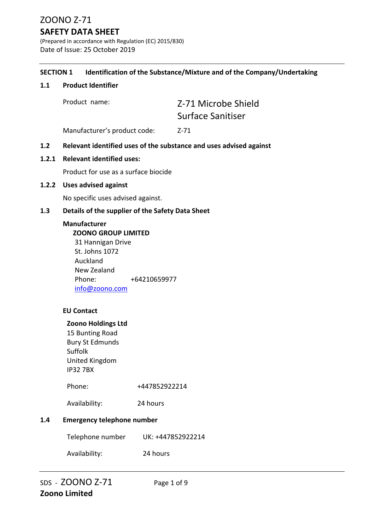# **SAFETY DATA SHEET**

(Prepared in accordance with Regulation (EC) 2015/830) Date of Issue: 25 October 2019

#### **SECTION 1 Identification of the Substance/Mixture and of the Company/Undertaking**

#### **1.1 Product Identifier**

Product name: Z-71 Microbe Shield Surface Sanitiser

Manufacturer's product code: Z-71

#### **1.2 Relevant identified uses of the substance and uses advised against**

#### **1.2.1 Relevant identified uses:**

Product for use as a surface biocide

#### **1.2.2 Uses advised against**

No specific uses advised against.

#### **1.3 Details of the supplier of the Safety Data Sheet**

#### **Manufacturer**

 **ZOONO GROUP LIMITED** 31 Hannigan Drive St. Johns 1072 Auckland New Zealand Phone: +64210659977 info@zoono.com

### **EU Contact**

#### **Zoono Holdings Ltd**

15 Bunting Road Bury St Edmunds Suffolk United Kingdom IP32 7BX

Phone: +447852922214

Availability: 24 hours

#### **1.4 Emergency telephone number**

Telephone number UK: +447852922214

Availability: 24 hours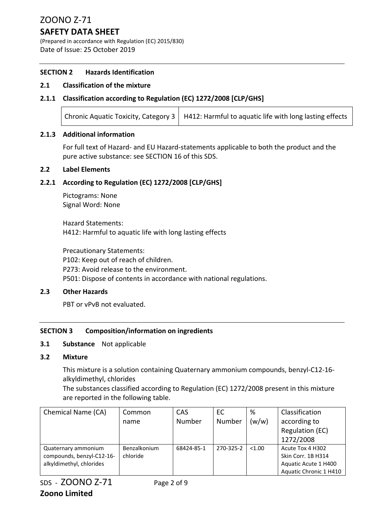# **SAFETY DATA SHEET**

(Prepared in accordance with Regulation (EC) 2015/830) Date of Issue: 25 October 2019

#### **SECTION 2 Hazards Identification**

#### **2.1 Classification of the mixture**

#### **2.1.1 Classification according to Regulation (EC) 1272/2008 [CLP/GHS]**

| Chronic Aquatic Toxicity, Category $3 \mid H412$ : Harmful to aquatic life with long lasting effects |
|------------------------------------------------------------------------------------------------------|
|                                                                                                      |

#### **2.1.3 Additional information**

For full text of Hazard‐ and EU Hazard‐statements applicable to both the product and the pure active substance: see SECTION 16 of this SDS.

#### **2.2 Label Elements**

#### **2.2.1 According to Regulation (EC) 1272/2008 [CLP/GHS]**

Pictograms: None Signal Word: None

Hazard Statements: H412: Harmful to aquatic life with long lasting effects

Precautionary Statements: P102: Keep out of reach of children. P273: Avoid release to the environment. P501: Dispose of contents in accordance with national regulations.

#### **2.3 Other Hazards**

PBT or vPvB not evaluated.

#### **SECTION 3 Composition/information on ingredients**

#### **3.1 Substance** Not applicable

#### **3.2 Mixture**

This mixture is a solution containing Quaternary ammonium compounds, benzyl‐C12‐16‐ alkyldimethyl, chlorides

The substances classified according to Regulation (EC) 1272/2008 present in this mixture are reported in the following table.

| Chemical Name (CA)        | Common       | CAS        | EC        | %      | Classification         |
|---------------------------|--------------|------------|-----------|--------|------------------------|
|                           | name         | Number     | Number    | (w/w)  | according to           |
|                           |              |            |           |        | <b>Regulation (EC)</b> |
|                           |              |            |           |        | 1272/2008              |
| Quaternary ammonium       | Benzalkonium | 68424-85-1 | 270-325-2 | < 1.00 | Acute Tox 4 H302       |
| compounds, benzyl-C12-16- | chloride     |            |           |        | Skin Corr. 1B H314     |
| alkyldimethyl, chlorides  |              |            |           |        | Aquatic Acute 1 H400   |
|                           |              |            |           |        | Aquatic Chronic 1 H410 |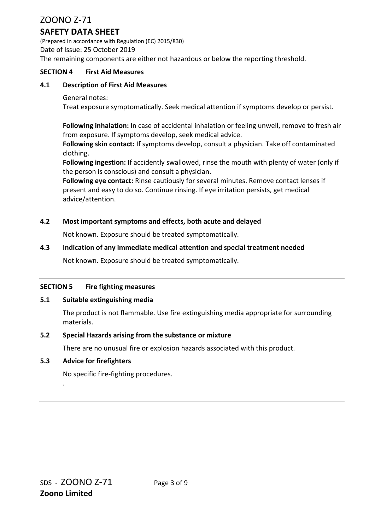# **SAFETY DATA SHEET**

(Prepared in accordance with Regulation (EC) 2015/830) Date of Issue: 25 October 2019 The remaining components are either not hazardous or below the reporting threshold.

#### **SECTION 4 First Aid Measures**

#### **4.1 Description of First Aid Measures**

#### General notes:

Treat exposure symptomatically. Seek medical attention if symptoms develop or persist.

**Following inhalation:** In case of accidental inhalation or feeling unwell, remove to fresh air from exposure. If symptoms develop, seek medical advice.

**Following skin contact:** If symptoms develop, consult a physician. Take off contaminated clothing.

**Following ingestion:** If accidently swallowed, rinse the mouth with plenty of water (only if the person is conscious) and consult a physician.

**Following eye contact:** Rinse cautiously for several minutes. Remove contact lenses if present and easy to do so. Continue rinsing. If eye irritation persists, get medical advice/attention.

#### **4.2 Most important symptoms and effects, both acute and delayed**

Not known. Exposure should be treated symptomatically.

#### **4.3 Indication of any immediate medical attention and special treatment needed**

Not known. Exposure should be treated symptomatically.

#### **SECTION 5 Fire fighting measures**

#### **5.1 Suitable extinguishing media**

The product is not flammable. Use fire extinguishing media appropriate for surrounding materials.

#### **5.2 Special Hazards arising from the substance or mixture**

There are no unusual fire or explosion hazards associated with this product.

#### **5.3 Advice for firefighters**

.

No specific fire‐fighting procedures.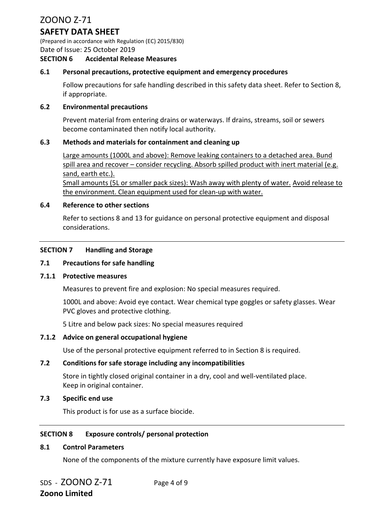# **SAFETY DATA SHEET**

(Prepared in accordance with Regulation (EC) 2015/830) Date of Issue: 25 October 2019

#### **SECTION 6 Accidental Release Measures**

#### **6.1 Personal precautions, protective equipment and emergency procedures**

Follow precautions for safe handling described in this safety data sheet. Refer to Section 8, if appropriate.

#### **6.2 Environmental precautions**

Prevent material from entering drains or waterways. If drains, streams, soil or sewers become contaminated then notify local authority.

#### **6.3 Methods and materials for containment and cleaning up**

Large amounts (1000L and above): Remove leaking containers to a detached area. Bund spill area and recover – consider recycling. Absorb spilled product with inert material (e.g. sand, earth etc.).

Small amounts (5L or smaller pack sizes): Wash away with plenty of water. Avoid release to the environment. Clean equipment used for clean‐up with water.

#### **6.4 Reference to other sections**

Refer to sections 8 and 13 for guidance on personal protective equipment and disposal considerations.

#### **SECTION 7 Handling and Storage**

#### **7.1 Precautions for safe handling**

#### **7.1.1 Protective measures**

Measures to prevent fire and explosion: No special measures required.

1000L and above: Avoid eye contact. Wear chemical type goggles or safety glasses. Wear PVC gloves and protective clothing.

5 Litre and below pack sizes: No special measures required

#### **7.1.2 Advice on general occupational hygiene**

Use of the personal protective equipment referred to in Section 8 is required.

#### **7.2 Conditions for safe storage including any incompatibilities**

Store in tightly closed original container in a dry, cool and well‐ventilated place. Keep in original container.

#### **7.3 Specific end use**

This product is for use as a surface biocide.

#### **SECTION 8 Exposure controls/ personal protection**

#### **8.1 Control Parameters**

None of the components of the mixture currently have exposure limit values.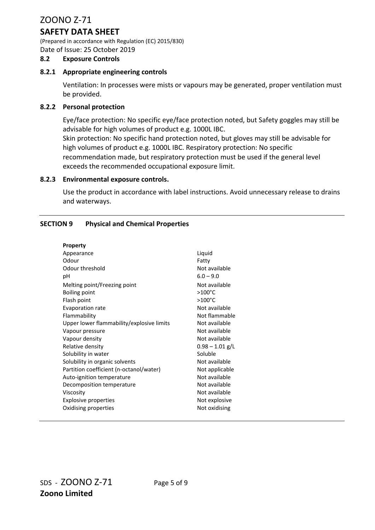# **SAFETY DATA SHEET**

(Prepared in accordance with Regulation (EC) 2015/830) Date of Issue: 25 October 2019

#### **8.2 Exposure Controls**

#### **8.2.1 Appropriate engineering controls**

Ventilation: In processes were mists or vapours may be generated, proper ventilation must be provided.

#### **8.2.2 Personal protection**

Eye/face protection: No specific eye/face protection noted, but Safety goggles may still be advisable for high volumes of product e.g. 1000L IBC.

Skin protection: No specific hand protection noted, but gloves may still be advisable for high volumes of product e.g. 1000L IBC. Respiratory protection: No specific recommendation made, but respiratory protection must be used if the general level exceeds the recommended occupational exposure limit.

#### **8.2.3 Environmental exposure controls.**

Use the product in accordance with label instructions. Avoid unnecessary release to drains and waterways.

#### **SECTION 9 Physical and Chemical Properties**

| <b>Property</b>                           |                   |
|-------------------------------------------|-------------------|
| Appearance                                | Liquid            |
| Odour                                     | Fatty             |
| Odour threshold                           | Not available     |
| рH                                        | $6.0 - 9.0$       |
| Melting point/Freezing point              | Not available     |
| <b>Boiling point</b>                      | $>100^{\circ}$ C  |
| Flash point                               | $>100^{\circ}$ C  |
| Evaporation rate                          | Not available     |
| Flammability                              | Not flammable     |
| Upper lower flammability/explosive limits | Not available     |
| Vapour pressure                           | Not available     |
| Vapour density                            | Not available     |
| Relative density                          | $0.98 - 1.01$ g/L |
| Solubility in water                       | Soluble           |
| Solubility in organic solvents            | Not available     |
| Partition coefficient (n-octanol/water)   | Not applicable    |
| Auto-ignition temperature                 | Not available     |
| Decomposition temperature                 | Not available     |
| Viscosity                                 | Not available     |
| <b>Explosive properties</b>               | Not explosive     |
| Oxidising properties                      | Not oxidising     |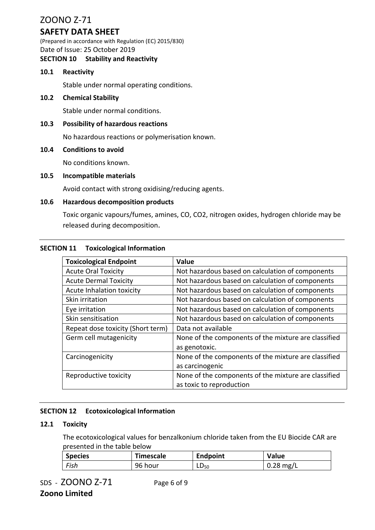# **SAFETY DATA SHEET**

(Prepared in accordance with Regulation (EC) 2015/830) Date of Issue: 25 October 2019

### **SECTION 10 Stability and Reactivity**

#### **10.1 Reactivity**

Stable under normal operating conditions.

#### **10.2 Chemical Stability**

Stable under normal conditions.

#### **10.3 Possibility of hazardous reactions**

No hazardous reactions or polymerisation known.

#### **10.4 Conditions to avoid**

No conditions known.

#### **10.5 Incompatible materials**

Avoid contact with strong oxidising/reducing agents.

#### **10.6 Hazardous decomposition products**

Toxic organic vapours/fumes, amines, CO, CO2, nitrogen oxides, hydrogen chloride may be released during decomposition.

#### **SECTION 11 Toxicological Information**

| <b>Toxicological Endpoint</b>     | Value                                                |  |
|-----------------------------------|------------------------------------------------------|--|
| <b>Acute Oral Toxicity</b>        | Not hazardous based on calculation of components     |  |
| <b>Acute Dermal Toxicity</b>      | Not hazardous based on calculation of components     |  |
| Acute Inhalation toxicity         | Not hazardous based on calculation of components     |  |
| Skin irritation                   | Not hazardous based on calculation of components     |  |
| Eye irritation                    | Not hazardous based on calculation of components     |  |
| Skin sensitisation                | Not hazardous based on calculation of components     |  |
| Repeat dose toxicity (Short term) | Data not available                                   |  |
| Germ cell mutagenicity            | None of the components of the mixture are classified |  |
|                                   | as genotoxic.                                        |  |
| Carcinogenicity                   | None of the components of the mixture are classified |  |
|                                   | as carcinogenic                                      |  |
| Reproductive toxicity             | None of the components of the mixture are classified |  |
|                                   | as toxic to reproduction                             |  |

#### **SECTION 12 Ecotoxicological Information**

#### **12.1 Toxicity**

The ecotoxicological values for benzalkonium chloride taken from the EU Biocide CAR are presented in the table below

| <b>Species</b> | Timescale | <b>Endpoint</b> | <b>Value</b>           |
|----------------|-----------|-----------------|------------------------|
| Fish           | 96 hour   | $LD_{50}$       | $0.28 \,\mathrm{mg/L}$ |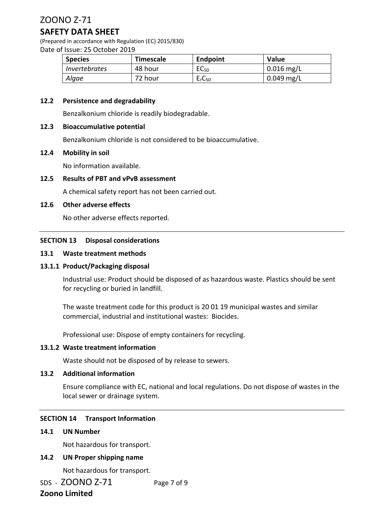### **SAFETY DATA SHEET**

(Prepared in accordance with Regulation (EC) 2015/830) Date of Issue: 25 October 2019

| <b>Species</b>       | <b>Timescale</b> | Endpoint                       | <b>Value</b> |
|----------------------|------------------|--------------------------------|--------------|
| <i>Invertebrates</i> | 48 hour          | EC <sub>50</sub>               | $0.016$ mg/L |
| Algae                | 72 hour          | E <sub>r</sub> C <sub>50</sub> | $0.049$ mg/L |

#### **12.2 Persistence and degradability**

Benzalkonium chloride is readily biodegradable.

#### **12.3 Bioaccumulative potential**

Benzalkonium chloride is not considered to be bioaccumulative.

#### **12.4 Mobility in soil**

No information available.

#### **12.5 Results of PBT and vPvB assessment**

A chemical safety report has not been carried out.

#### **12.6 Other adverse effects**

No other adverse effects reported.

#### **SECTION 13 Disposal considerations**

#### **13.1 Waste treatment methods**

#### **13.1.1 Product/Packaging disposal**

Industrial use: Product should be disposed of as hazardous waste. Plastics should be sent for recycling or buried in landfill.

The waste treatment code for this product is 20 01 19 municipal wastes and similar commercial, industrial and institutional wastes: Biocides.

Professional use: Dispose of empty containers for recycling.

#### **13.1.2 Waste treatment information**

Waste should not be disposed of by release to sewers.

#### **13.2 Additional information**

Ensure compliance with EC, national and local regulations. Do not dispose of wastes in the local sewer or drainage system.

#### **SECTION 14 Transport Information**

#### **14.1 UN Number**

Not hazardous for transport.

#### **14.2 UN Proper shipping name**

Not hazardous for transport.

SDS - **ZOONO Z-71** Page 7 of 9

## **Zoono Limited**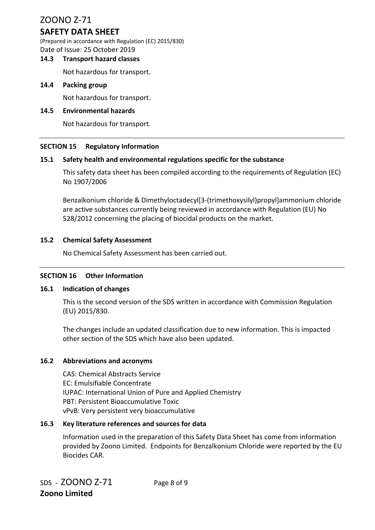# **SAFETY DATA SHEET**

(Prepared in accordance with Regulation (EC) 2015/830) Date of Issue: 25 October 2019

#### **14.3 Transport hazard classes**

Not hazardous for transport.

#### **14.4 Packing group**

Not hazardous for transport.

#### **14.5 Environmental hazards**

Not hazardous for transport.

#### **SECTION 15 Regulatory Information**

#### **15.1 Safety health and environmental regulations specific for the substance**

This safety data sheet has been compiled according to the requirements of Regulation (EC) No 1907/2006

Benzalkonium chloride & Dimethyloctadecyl[3‐(trimethoxysilyl)propyl]ammonium chloride are active substances currently being reviewed in accordance with Regulation (EU) No 528/2012 concerning the placing of biocidal products on the market.

#### **15.2 Chemical Safety Assessment**

No Chemical Safety Assessment has been carried out.

#### **SECTION 16 Other Information**

#### **16.1 Indication of changes**

This is the second version of the SDS written in accordance with Commission Regulation (EU) 2015/830.

The changes include an updated classification due to new information. This is impacted other section of the SDS which have also been updated.

#### **16.2 Abbreviations and acronyms**

CAS: Chemical Abstracts Service EC: Emulsifiable Concentrate IUPAC: International Union of Pure and Applied Chemistry PBT: Persistent Bioaccumulative Toxic vPvB: Very persistent very bioaccumulative

#### **16.3 Key literature references and sources for data**

Information used in the preparation of this Safety Data Sheet has come from information provided by Zoono Limited. Endpoints for Benzalkonium Chloride were reported by the EU Biocides CAR.